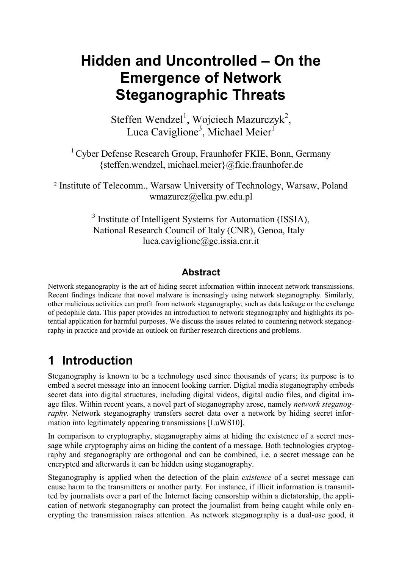# **Hidden and Uncontrolled – On the Emergence of Network Steganographic Threats**

Steffen Wendzel<sup>1</sup>, Wojciech Mazurczyk<sup>2</sup>, Luca Caviglione<sup>3</sup>, Michael Meier<sup>1</sup>

<sup>1</sup> Cyber Defense Research Group, Fraunhofer FKIE, Bonn, Germany {steffen.wendzel, michael.meier}@fkie.fraunhofer.de

² Institute of Telecomm., Warsaw University of Technology, Warsaw, Poland wmazurcz@elka.pw.edu.pl

> <sup>3</sup> Institute of Intelligent Systems for Automation (ISSIA), National Research Council of Italy (CNR), Genoa, Italy luca.caviglione@ge.issia.cnr.it

### **Abstract**

Network steganography is the art of hiding secret information within innocent network transmissions. Recent findings indicate that novel malware is increasingly using network steganography. Similarly, other malicious activities can profit from network steganography, such as data leakage or the exchange of pedophile data. This paper provides an introduction to network steganography and highlights its potential application for harmful purposes. We discuss the issues related to countering network steganography in practice and provide an outlook on further research directions and problems.

## **1 Introduction**

Steganography is known to be a technology used since thousands of years; its purpose is to embed a secret message into an innocent looking carrier. Digital media steganography embeds secret data into digital structures, including digital videos, digital audio files, and digital image files. Within recent years, a novel part of steganography arose, namely *network steganography*. Network steganography transfers secret data over a network by hiding secret information into legitimately appearing transmissions [LuWS10].

In comparison to cryptography, steganography aims at hiding the existence of a secret message while cryptography aims on hiding the content of a message. Both technologies cryptography and steganography are orthogonal and can be combined, i.e. a secret message can be encrypted and afterwards it can be hidden using steganography.

Steganography is applied when the detection of the plain *existence* of a secret message can cause harm to the transmitters or another party. For instance, if illicit information is transmitted by journalists over a part of the Internet facing censorship within a dictatorship, the application of network steganography can protect the journalist from being caught while only encrypting the transmission raises attention. As network steganography is a dual-use good, it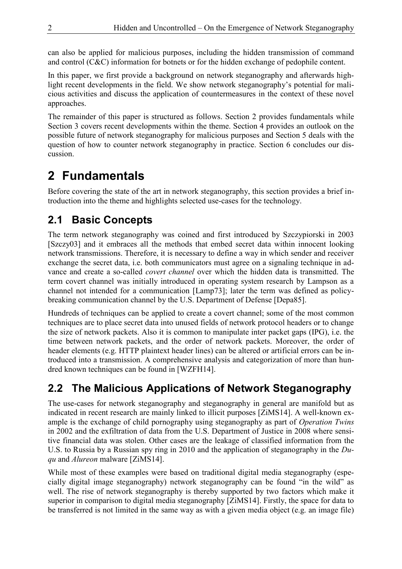can also be applied for malicious purposes, including the hidden transmission of command and control (C&C) information for botnets or for the hidden exchange of pedophile content.

In this paper, we first provide a background on network steganography and afterwards highlight recent developments in the field. We show network steganography's potential for malicious activities and discuss the application of countermeasures in the context of these novel approaches.

The remainder of this paper is structured as follows. Section 2 provides fundamentals while Section 3 covers recent developments within the theme. Section 4 provides an outlook on the possible future of network steganography for malicious purposes and Section 5 deals with the question of how to counter network steganography in practice. Section 6 concludes our discussion.

# **2 Fundamentals**

Before covering the state of the art in network steganography, this section provides a brief introduction into the theme and highlights selected use-cases for the technology.

### **2.1 Basic Concepts**

The term network steganography was coined and first introduced by Szczypiorski in 2003 [Szczy03] and it embraces all the methods that embed secret data within innocent looking network transmissions. Therefore, it is necessary to define a way in which sender and receiver exchange the secret data, i.e. both communicators must agree on a signaling technique in advance and create a so-called *covert channel* over which the hidden data is transmitted. The term covert channel was initially introduced in operating system research by Lampson as a channel not intended for a communication [Lamp73]; later the term was defined as policybreaking communication channel by the U.S. Department of Defense [Depa85].

Hundreds of techniques can be applied to create a covert channel; some of the most common techniques are to place secret data into unused fields of network protocol headers or to change the size of network packets. Also it is common to manipulate inter packet gaps (IPG), i.e. the time between network packets, and the order of network packets. Moreover, the order of header elements (e.g. HTTP plaintext header lines) can be altered or artificial errors can be introduced into a transmission. A comprehensive analysis and categorization of more than hundred known techniques can be found in [WZFH14].

### **2.2 The Malicious Applications of Network Steganography**

The use-cases for network steganography and steganography in general are manifold but as indicated in recent research are mainly linked to illicit purposes [ZiMS14]. A well-known example is the exchange of child pornography using steganography as part of *Operation Twins* in 2002 and the exfiltration of data from the U.S. Department of Justice in 2008 where sensitive financial data was stolen. Other cases are the leakage of classified information from the U.S. to Russia by a Russian spy ring in 2010 and the application of steganography in the *Duqu* and *Alureon* malware [ZiMS14].

While most of these examples were based on traditional digital media steganography (especially digital image steganography) network steganography can be found "in the wild" as well. The rise of network steganography is thereby supported by two factors which make it superior in comparison to digital media steganography [ZiMS14]. Firstly, the space for data to be transferred is not limited in the same way as with a given media object (e.g. an image file)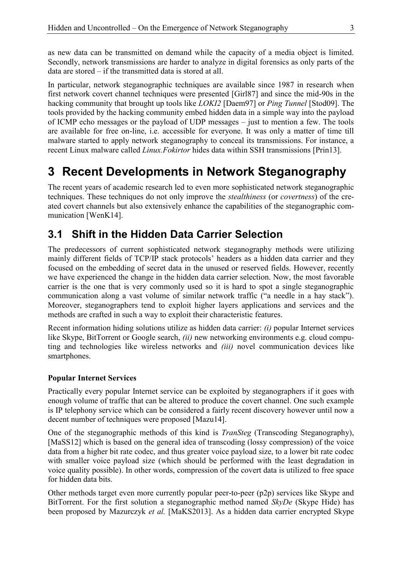as new data can be transmitted on demand while the capacity of a media object is limited. Secondly, network transmissions are harder to analyze in digital forensics as only parts of the data are stored – if the transmitted data is stored at all.

In particular, network steganographic techniques are available since 1987 in research when first network covert channel techniques were presented [Girl87] and since the mid-90s in the hacking community that brought up tools like *LOKI2* [Daem97] or *Ping Tunnel* [Stod09]. The tools provided by the hacking community embed hidden data in a simple way into the payload of ICMP echo messages or the payload of UDP messages – just to mention a few. The tools are available for free on-line, i.e. accessible for everyone. It was only a matter of time till malware started to apply network steganography to conceal its transmissions. For instance, a recent Linux malware called *Linux.Fokirtor* hides data within SSH transmissions [Prin13].

### **3 Recent Developments in Network Steganography**

The recent years of academic research led to even more sophisticated network steganographic techniques. These techniques do not only improve the *stealthiness* (or *covertness*) of the created covert channels but also extensively enhance the capabilities of the steganographic communication [WenK14].

### **3.1 Shift in the Hidden Data Carrier Selection**

The predecessors of current sophisticated network steganography methods were utilizing mainly different fields of TCP/IP stack protocols' headers as a hidden data carrier and they focused on the embedding of secret data in the unused or reserved fields. However, recently we have experienced the change in the hidden data carrier selection. Now, the most favorable carrier is the one that is very commonly used so it is hard to spot a single steganographic communication along a vast volume of similar network traffic ("a needle in a hay stack"). Moreover, steganographers tend to exploit higher layers applications and services and the methods are crafted in such a way to exploit their characteristic features.

Recent information hiding solutions utilize as hidden data carrier: *(i)* popular Internet services like Skype, BitTorrent or Google search, *(ii)* new networking environments e.g. cloud computing and technologies like wireless networks and *(iii)* novel communication devices like smartphones.

#### **Popular Internet Services**

Practically every popular Internet service can be exploited by steganographers if it goes with enough volume of traffic that can be altered to produce the covert channel. One such example is IP telephony service which can be considered a fairly recent discovery however until now a decent number of techniques were proposed [Mazu14].

One of the steganographic methods of this kind is *TranSteg* (Transcoding Steganography), [MaSS12] which is based on the general idea of transcoding (lossy compression) of the voice data from a higher bit rate codec, and thus greater voice payload size, to a lower bit rate codec with smaller voice payload size (which should be performed with the least degradation in voice quality possible). In other words, compression of the covert data is utilized to free space for hidden data bits.

Other methods target even more currently popular peer-to-peer (p2p) services like Skype and BitTorrent. For the first solution a steganographic method named *SkyDe* (Skype Hide) has been proposed by Mazurczyk *et al.* [MaKS2013]. As a hidden data carrier encrypted Skype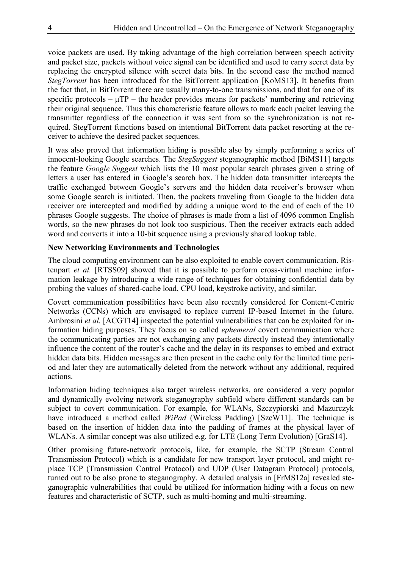voice packets are used. By taking advantage of the high correlation between speech activity and packet size, packets without voice signal can be identified and used to carry secret data by replacing the encrypted silence with secret data bits. In the second case the method named *StegTorrent* has been introduced for the BitTorrent application [KoMS13]. It benefits from the fact that, in BitTorrent there are usually many-to-one transmissions, and that for one of its specific protocols –  $\mu$ TP – the header provides means for packets' numbering and retrieving their original sequence. Thus this characteristic feature allows to mark each packet leaving the transmitter regardless of the connection it was sent from so the synchronization is not required. StegTorrent functions based on intentional BitTorrent data packet resorting at the receiver to achieve the desired packet sequences.

It was also proved that information hiding is possible also by simply performing a series of innocent-looking Google searches. The *StegSuggest* steganographic method [BiMS11] targets the feature *Google Suggest* which lists the 10 most popular search phrases given a string of letters a user has entered in Google's search box. The hidden data transmitter intercepts the traffic exchanged between Google's servers and the hidden data receiver's browser when some Google search is initiated. Then, the packets traveling from Google to the hidden data receiver are intercepted and modified by adding a unique word to the end of each of the 10 phrases Google suggests. The choice of phrases is made from a list of 4096 common English words, so the new phrases do not look too suspicious. Then the receiver extracts each added word and converts it into a 10-bit sequence using a previously shared lookup table.

#### **New Networking Environments and Technologies**

The cloud computing environment can be also exploited to enable covert communication. Ristenpart *et al.* [RTSS09] showed that it is possible to perform cross-virtual machine information leakage by introducing a wide range of techniques for obtaining confidential data by probing the values of shared-cache load, CPU load, keystroke activity, and similar.

Covert communication possibilities have been also recently considered for Content-Centric Networks (CCNs) which are envisaged to replace current IP-based Internet in the future. Ambrosini *et al.* [ACGT14] inspected the potential vulnerabilities that can be exploited for information hiding purposes. They focus on so called *ephemeral* covert communication where the communicating parties are not exchanging any packets directly instead they intentionally influence the content of the router's cache and the delay in its responses to embed and extract hidden data bits. Hidden messages are then present in the cache only for the limited time period and later they are automatically deleted from the network without any additional, required actions.

Information hiding techniques also target wireless networks, are considered a very popular and dynamically evolving network steganography subfield where different standards can be subject to covert communication. For example, for WLANs, Szczypiorski and Mazurczyk have introduced a method called *WiPad* (Wireless Padding) [SzcW11]. The technique is based on the insertion of hidden data into the padding of frames at the physical layer of WLANs. A similar concept was also utilized e.g. for LTE (Long Term Evolution) [GraS14].

Other promising future-network protocols, like, for example, the SCTP (Stream Control Transmission Protocol) which is a candidate for new transport layer protocol, and might replace TCP (Transmission Control Protocol) and UDP (User Datagram Protocol) protocols, turned out to be also prone to steganography. A detailed analysis in [FrMS12a] revealed steganographic vulnerabilities that could be utilized for information hiding with a focus on new features and characteristic of SCTP, such as multi-homing and multi-streaming.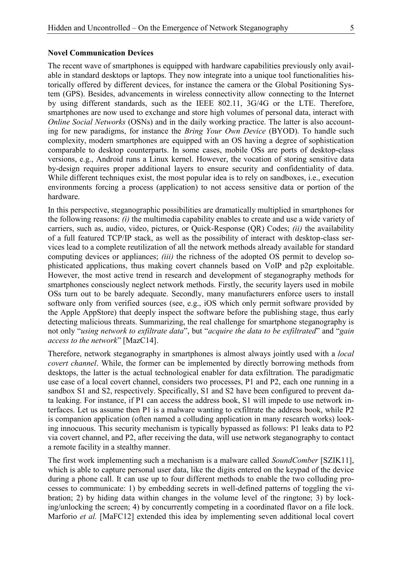#### **Novel Communication Devices**

The recent wave of smartphones is equipped with hardware capabilities previously only available in standard desktops or laptops. They now integrate into a unique tool functionalities historically offered by different devices, for instance the camera or the Global Positioning System (GPS). Besides, advancements in wireless connectivity allow connecting to the Internet by using different standards, such as the IEEE 802.11, 3G/4G or the LTE. Therefore, smartphones are now used to exchange and store high volumes of personal data, interact with *Online Social Networks* (OSNs) and in the daily working practice. The latter is also accounting for new paradigms, for instance the *Bring Your Own Device* (BYOD). To handle such complexity, modern smartphones are equipped with an OS having a degree of sophistication comparable to desktop counterparts. In some cases, mobile OSs are ports of desktop-class versions, e.g., Android runs a Linux kernel. However, the vocation of storing sensitive data by-design requires proper additional layers to ensure security and confidentiality of data. While different techniques exist, the most popular idea is to rely on sandboxes, i.e., execution environments forcing a process (application) to not access sensitive data or portion of the hardware.

In this perspective, steganographic possibilities are dramatically multiplied in smartphones for the following reasons: *(i)* the multimedia capability enables to create and use a wide variety of carriers, such as, audio, video, pictures, or Quick-Response (QR) Codes; *(ii)* the availability of a full featured TCP/IP stack, as well as the possibility of interact with desktop-class services lead to a complete reutilization of all the network methods already available for standard computing devices or appliances; *(iii)* the richness of the adopted OS permit to develop sophisticated applications, thus making covert channels based on VoIP and p2p exploitable. However, the most active trend in research and development of steganography methods for smartphones consciously neglect network methods. Firstly, the security layers used in mobile OSs turn out to be barely adequate. Secondly, many manufacturers enforce users to install software only from verified sources (see, e.g., iOS which only permit software provided by the Apple AppStore) that deeply inspect the software before the publishing stage, thus early detecting malicious threats. Summarizing, the real challenge for smartphone steganography is not only "*using network to exfiltrate data*", but "*acquire the data to be exfiltrated*" and "*gain access to the network*" [MazC14].

Therefore, network steganography in smartphones is almost always jointly used with a *local covert channel*. While, the former can be implemented by directly borrowing methods from desktops, the latter is the actual technological enabler for data exfiltration. The paradigmatic use case of a local covert channel, considers two processes, P1 and P2, each one running in a sandbox S1 and S2, respectively. Specifically, S1 and S2 have been configured to prevent data leaking. For instance, if P1 can access the address book, S1 will impede to use network interfaces. Let us assume then P1 is a malware wanting to exfiltrate the address book, while P2 is companion application (often named a colluding application in many research works) looking innocuous. This security mechanism is typically bypassed as follows: P1 leaks data to P2 via covert channel, and P2, after receiving the data, will use network steganography to contact a remote facility in a stealthy manner.

The first work implementing such a mechanism is a malware called *SoundComber* [SZIK11], which is able to capture personal user data, like the digits entered on the keypad of the device during a phone call. It can use up to four different methods to enable the two colluding processes to communicate: 1) by embedding secrets in well-defined patterns of toggling the vibration; 2) by hiding data within changes in the volume level of the ringtone; 3) by locking/unlocking the screen; 4) by concurrently competing in a coordinated flavor on a file lock. Marforio *et al.* [MaFC12] extended this idea by implementing seven additional local covert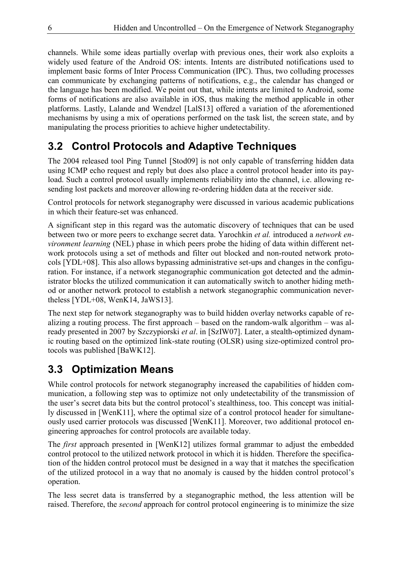channels. While some ideas partially overlap with previous ones, their work also exploits a widely used feature of the Android OS: intents. Intents are distributed notifications used to implement basic forms of Inter Process Communication (IPC). Thus, two colluding processes can communicate by exchanging patterns of notifications, e.g., the calendar has changed or the language has been modified. We point out that, while intents are limited to Android, some forms of notifications are also available in iOS, thus making the method applicable in other platforms. Lastly, Lalande and Wendzel [LalS13] offered a variation of the aforementioned mechanisms by using a mix of operations performed on the task list, the screen state, and by manipulating the process priorities to achieve higher undetectability.

### **3.2 Control Protocols and Adaptive Techniques**

The 2004 released tool Ping Tunnel [Stod09] is not only capable of transferring hidden data using ICMP echo request and reply but does also place a control protocol header into its payload. Such a control protocol usually implements reliability into the channel, i.e. allowing resending lost packets and moreover allowing re-ordering hidden data at the receiver side.

Control protocols for network steganography were discussed in various academic publications in which their feature-set was enhanced.

A significant step in this regard was the automatic discovery of techniques that can be used between two or more peers to exchange secret data. Yarochkin *et al.* introduced a *network environment learning* (NEL) phase in which peers probe the hiding of data within different network protocols using a set of methods and filter out blocked and non-routed network protocols [YDL+08]. This also allows bypassing administrative set-ups and changes in the configuration. For instance, if a network steganographic communication got detected and the administrator blocks the utilized communication it can automatically switch to another hiding method or another network protocol to establish a network steganographic communication nevertheless [YDL+08, WenK14, JaWS13].

The next step for network steganography was to build hidden overlay networks capable of realizing a routing process. The first approach – based on the random-walk algorithm – was already presented in 2007 by Szczypiorski *et al*. in [SzIW07]. Later, a stealth-optimized dynamic routing based on the optimized link-state routing (OLSR) using size-optimized control protocols was published [BaWK12].

### **3.3 Optimization Means**

While control protocols for network steganography increased the capabilities of hidden communication, a following step was to optimize not only undetectability of the transmission of the user's secret data bits but the control protocol's stealthiness, too. This concept was initially discussed in [WenK11], where the optimal size of a control protocol header for simultaneously used carrier protocols was discussed [WenK11]. Moreover, two additional protocol engineering approaches for control protocols are available today.

The *first* approach presented in [WenK12] utilizes formal grammar to adjust the embedded control protocol to the utilized network protocol in which it is hidden. Therefore the specification of the hidden control protocol must be designed in a way that it matches the specification of the utilized protocol in a way that no anomaly is caused by the hidden control protocol's operation.

The less secret data is transferred by a steganographic method, the less attention will be raised. Therefore, the *second* approach for control protocol engineering is to minimize the size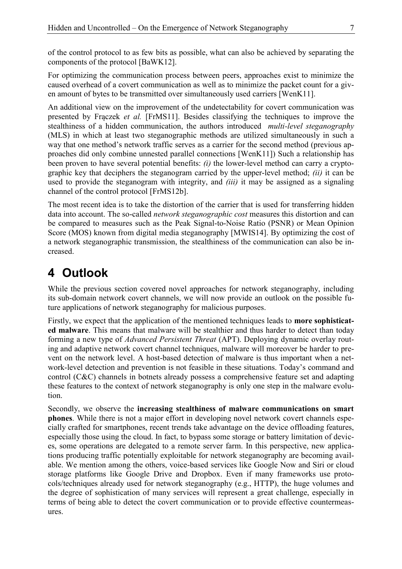of the control protocol to as few bits as possible, what can also be achieved by separating the components of the protocol [BaWK12].

For optimizing the communication process between peers, approaches exist to minimize the caused overhead of a covert communication as well as to minimize the packet count for a given amount of bytes to be transmitted over simultaneously used carriers [WenK11].

An additional view on the improvement of the undetectability for covert communication was presented by Frączek *et al.* [FrMS11]. Besides classifying the techniques to improve the stealthiness of a hidden communication, the authors introduced *multi-level steganography* (MLS) in which at least two steganographic methods are utilized simultaneously in such a way that one method's network traffic serves as a carrier for the second method (previous approaches did only combine unnested parallel connections [WenK11]) Such a relationship has been proven to have several potential benefits: *(i)* the lower-level method can carry a cryptographic key that deciphers the steganogram carried by the upper-level method; *(ii)* it can be used to provide the steganogram with integrity, and *(iii)* it may be assigned as a signaling channel of the control protocol [FrMS12b].

The most recent idea is to take the distortion of the carrier that is used for transferring hidden data into account. The so-called *network steganographic cost* measures this distortion and can be compared to measures such as the Peak Signal-to-Noise Ratio (PSNR) or Mean Opinion Score (MOS) known from digital media steganography [MWIS14]. By optimizing the cost of a network steganographic transmission, the stealthiness of the communication can also be increased.

### **4 Outlook**

While the previous section covered novel approaches for network steganography, including its sub-domain network covert channels, we will now provide an outlook on the possible future applications of network steganography for malicious purposes.

Firstly, we expect that the application of the mentioned techniques leads to **more sophisticated malware**. This means that malware will be stealthier and thus harder to detect than today forming a new type of *Advanced Persistent Threat* (APT). Deploying dynamic overlay routing and adaptive network covert channel techniques, malware will moreover be harder to prevent on the network level. A host-based detection of malware is thus important when a network-level detection and prevention is not feasible in these situations. Today's command and control (C&C) channels in botnets already possess a comprehensive feature set and adapting these features to the context of network steganography is only one step in the malware evolution.

Secondly, we observe the **increasing stealthiness of malware communications on smart phones**. While there is not a major effort in developing novel network covert channels especially crafted for smartphones, recent trends take advantage on the device offloading features, especially those using the cloud. In fact, to bypass some storage or battery limitation of devices, some operations are delegated to a remote server farm. In this perspective, new applications producing traffic potentially exploitable for network steganography are becoming available. We mention among the others, voice-based services like Google Now and Siri or cloud storage platforms like Google Drive and Dropbox. Even if many frameworks use protocols/techniques already used for network steganography (e.g., HTTP), the huge volumes and the degree of sophistication of many services will represent a great challenge, especially in terms of being able to detect the covert communication or to provide effective countermeasures.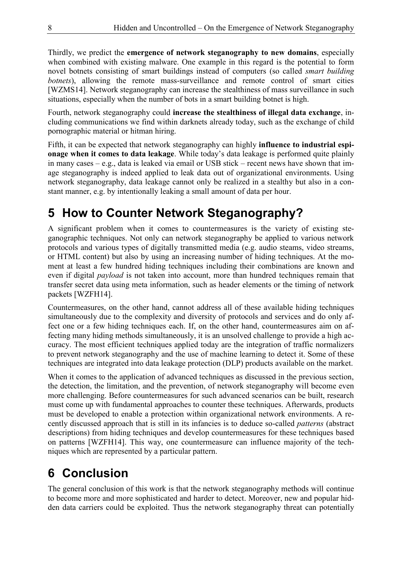Thirdly, we predict the **emergence of network steganography to new domains**, especially when combined with existing malware. One example in this regard is the potential to form novel botnets consisting of smart buildings instead of computers (so called *smart building botnets*), allowing the remote mass-surveillance and remote control of smart cities [WZMS14]. Network steganography can increase the stealthiness of mass surveillance in such situations, especially when the number of bots in a smart building botnet is high.

Fourth, network steganography could **increase the stealthiness of illegal data exchange**, including communications we find within darknets already today, such as the exchange of child pornographic material or hitman hiring.

Fifth, it can be expected that network steganography can highly **influence to industrial espionage when it comes to data leakage**. While today's data leakage is performed quite plainly in many cases – e.g., data is leaked via email or USB stick – recent news have shown that image steganography is indeed applied to leak data out of organizational environments. Using network steganography, data leakage cannot only be realized in a stealthy but also in a constant manner, e.g. by intentionally leaking a small amount of data per hour.

## **5 How to Counter Network Steganography?**

A significant problem when it comes to countermeasures is the variety of existing steganographic techniques. Not only can network steganography be applied to various network protocols and various types of digitally transmitted media (e.g. audio steams, video streams, or HTML content) but also by using an increasing number of hiding techniques. At the moment at least a few hundred hiding techniques including their combinations are known and even if digital *payload* is not taken into account, more than hundred techniques remain that transfer secret data using meta information, such as header elements or the timing of network packets [WZFH14].

Countermeasures, on the other hand, cannot address all of these available hiding techniques simultaneously due to the complexity and diversity of protocols and services and do only affect one or a few hiding techniques each. If, on the other hand, countermeasures aim on affecting many hiding methods simultaneously, it is an unsolved challenge to provide a high accuracy. The most efficient techniques applied today are the integration of traffic normalizers to prevent network steganography and the use of machine learning to detect it. Some of these techniques are integrated into data leakage protection (DLP) products available on the market.

When it comes to the application of advanced techniques as discussed in the previous section, the detection, the limitation, and the prevention, of network steganography will become even more challenging. Before countermeasures for such advanced scenarios can be built, research must come up with fundamental approaches to counter these techniques. Afterwards, products must be developed to enable a protection within organizational network environments. A recently discussed approach that is still in its infancies is to deduce so-called *patterns* (abstract descriptions) from hiding techniques and develop countermeasures for these techniques based on patterns [WZFH14]. This way, one countermeasure can influence majority of the techniques which are represented by a particular pattern.

# **6 Conclusion**

The general conclusion of this work is that the network steganography methods will continue to become more and more sophisticated and harder to detect. Moreover, new and popular hidden data carriers could be exploited. Thus the network steganography threat can potentially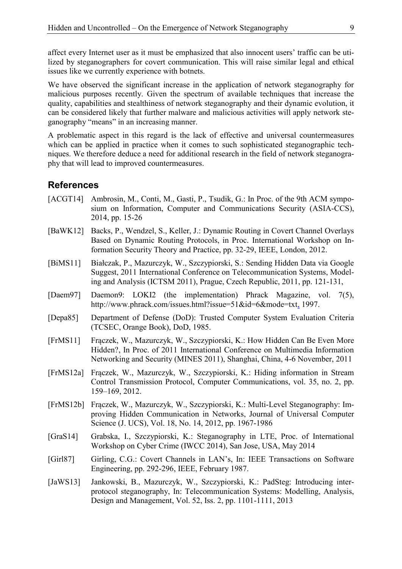affect every Internet user as it must be emphasized that also innocent users' traffic can be utilized by steganographers for covert communication. This will raise similar legal and ethical issues like we currently experience with botnets.

We have observed the significant increase in the application of network steganography for malicious purposes recently. Given the spectrum of available techniques that increase the quality, capabilities and stealthiness of network steganography and their dynamic evolution, it can be considered likely that further malware and malicious activities will apply network steganography "means" in an increasing manner.

A problematic aspect in this regard is the lack of effective and universal countermeasures which can be applied in practice when it comes to such sophisticated steganographic techniques. We therefore deduce a need for additional research in the field of network steganography that will lead to improved countermeasures.

### **References**

- [ACGT14] Ambrosin, M., Conti, M., Gasti, P., Tsudik, G.: In Proc. of the 9th ACM symposium on Information, Computer and Communications Security (ASIA-CCS), 2014, pp. 15-26
- [BaWK12] Backs, P., Wendzel, S., Keller, J.: Dynamic Routing in Covert Channel Overlays Based on Dynamic Routing Protocols, in Proc. International Workshop on Information Security Theory and Practice, pp. 32-29, IEEE, London, 2012.
- [BiMS11] Białczak, P., Mazurczyk, W., Szczypiorski, S.: Sending Hidden Data via Google Suggest, 2011 International Conference on Telecommunication Systems, Modeling and Analysis (ICTSM 2011), Prague, Czech Republic, 2011, pp. 121-131,
- [Daem97] Daemon9: LOKI2 (the implementation) Phrack Magazine, vol. 7(5), http://www.phrack.com/issues.html?issue=51&id=6&mode=txt, 1997.
- [Depa85] Department of Defense (DoD): Trusted Computer System Evaluation Criteria (TCSEC, Orange Book), DoD, 1985.
- [FrMS11] Frączek, W., Mazurczyk, W., Szczypiorski, K.: How Hidden Can Be Even More Hidden?, In Proc. of 2011 International Conference on Multimedia Information Networking and Security (MINES 2011), Shanghai, China, 4-6 November, 2011
- [FrMS12a] Frączek, W., Mazurczyk, W., Szczypiorski, K.: Hiding information in Stream Control Transmission Protocol, Computer Communications, vol. 35, no. 2, pp. 159–169, 2012.
- [FrMS12b] Frączek, W., Mazurczyk, W., Szczypiorski, K.: Multi-Level Steganography: Improving Hidden Communication in Networks, Journal of Universal Computer Science (J. UCS), Vol. 18, No. 14, 2012, pp. 1967-1986
- [GraS14] Grabska, I., Szczypiorski, K.: Steganography in LTE, Proc. of International Workshop on Cyber Crime (IWCC 2014), San Jose, USA, May 2014
- [Girl87] Girling, C.G.: Covert Channels in LAN's, In: IEEE Transactions on Software Engineering, pp. 292-296, IEEE, February 1987.
- [JaWS13] Jankowski, B., Mazurczyk, W., Szczypiorski, K.: PadSteg: Introducing interprotocol steganography, In: Telecommunication Systems: Modelling, Analysis, Design and Management, Vol. 52, Iss. 2, pp. 1101-1111, 2013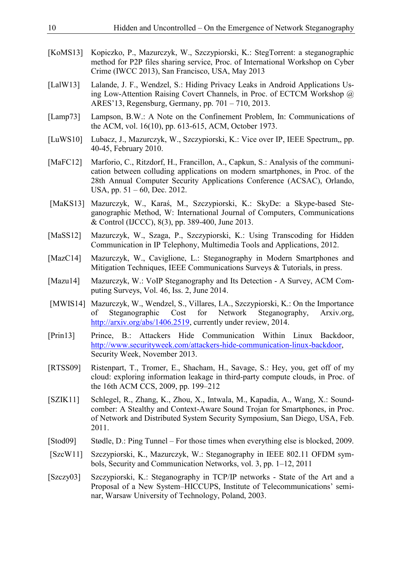- [KoMS13] Kopiczko, P., Mazurczyk, W., Szczypiorski, K.: StegTorrent: a steganographic method for P2P files sharing service, Proc. of International Workshop on Cyber Crime (IWCC 2013), San Francisco, USA, May 2013
- [LalW13] Lalande, J. F., Wendzel, S.: Hiding Privacy Leaks in Android Applications Using Low-Attention Raising Covert Channels, in Proc. of ECTCM Workshop @ ARES'13, Regensburg, Germany, pp. 701 – 710, 2013.
- [Lamp73] Lampson, B.W.: A Note on the Confinement Problem, In: Communications of the ACM, vol. 16(10), pp. 613-615, ACM, October 1973.
- [LuWS10] Lubacz, J., Mazurczyk, W., Szczypiorski, K.: Vice over IP, IEEE Spectrum,, pp. 40-45, February 2010.
- [MaFC12] Marforio, C., Ritzdorf, H., Francillon, A., Capkun, S.: Analysis of the communication between colluding applications on modern smartphones, in Proc. of the 28th Annual Computer Security Applications Conference (ACSAC), Orlando, USA, pp. 51 – 60, Dec. 2012.
- [MaKS13] Mazurczyk, W., Karaś, M., Szczypiorski, K.: SkyDe: a Skype-based Steganographic Method, W: International Journal of Computers, Communications & Control (IJCCC), 8(3), pp. 389-400, June 2013.
- [MaSS12] Mazurczyk, W., Szaga, P., Szczypiorski, K.: Using Transcoding for Hidden Communication in IP Telephony, Multimedia Tools and Applications, 2012.
- [MazC14] Mazurczyk, W., Caviglione, L.: Steganography in Modern Smartphones and Mitigation Techniques, IEEE Communications Surveys & Tutorials, in press.
- [Mazu14] Mazurczyk, W.: VoIP Steganography and Its Detection A Survey, ACM Computing Surveys, Vol. 46, Iss. 2, June 2014.
- [MWIS14] Mazurczyk, W., Wendzel, S., Villares, I.A., Szczypiorski, K.: On the Importance of Steganographic Cost for Network Steganography, Arxiv.org, [http://arxiv.org/abs/1406.2519,](http://arxiv.org/abs/1406.2519) currently under review, 2014.
- [Prin13] Prince, B.: Attackers Hide Communication Within Linux Backdoor, [http://www.securityweek.com/attackers-hide-communication-linux-backdoor,](http://www.securityweek.com/attackers-hide-communication-linux-backdoor) Security Week, November 2013.
- [RTSS09] Ristenpart, T., Tromer, E., Shacham, H., Savage, S.: Hey, you, get off of my cloud: exploring information leakage in third-party compute clouds, in Proc. of the 16th ACM CCS, 2009, pp. 199–212
- [SZIK11] Schlegel, R., Zhang, K., Zhou, X., Intwala, M., Kapadia, A., Wang, X.: Soundcomber: A Stealthy and Context-Aware Sound Trojan for Smartphones, in Proc. of Network and Distributed System Security Symposium, San Diego, USA, Feb. 2011.
- [Stod09] Stødle, D.: Ping Tunnel For those times when everything else is blocked, 2009.
- [SzcW11] Szczypiorski, K., Mazurczyk, W.: Steganography in IEEE 802.11 OFDM symbols, Security and Communication Networks, vol. 3, pp. 1–12, 2011
- [Szczy03] Szczypiorski, K.: Steganography in TCP/IP networks State of the Art and a Proposal of a New System–HICCUPS, Institute of Telecommunications' seminar, Warsaw University of Technology, Poland, 2003.